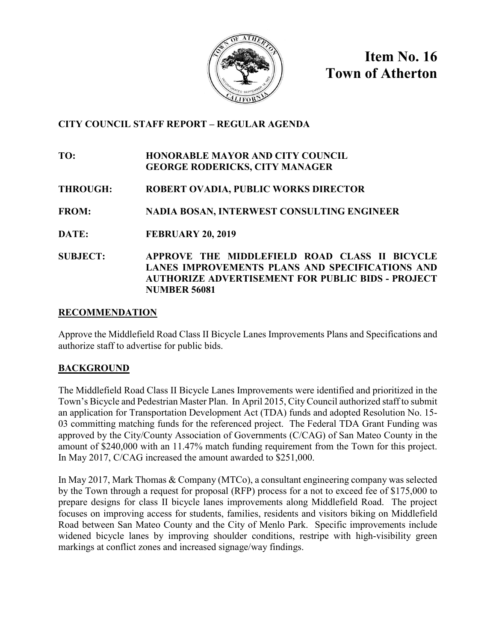

**Item No. 16 Town of Atherton**

## **CITY COUNCIL STAFF REPORT – REGULAR AGENDA**

# **TO: HONORABLE MAYOR AND CITY COUNCIL GEORGE RODERICKS, CITY MANAGER**

# **THROUGH: ROBERT OVADIA, PUBLIC WORKS DIRECTOR**

**FROM: NADIA BOSAN, INTERWEST CONSULTING ENGINEER**

**DATE: FEBRUARY 20, 2019**

## **SUBJECT: APPROVE THE MIDDLEFIELD ROAD CLASS II BICYCLE LANES IMPROVEMENTS PLANS AND SPECIFICATIONS AND AUTHORIZE ADVERTISEMENT FOR PUBLIC BIDS - PROJECT NUMBER 56081**

## **RECOMMENDATION**

Approve the Middlefield Road Class II Bicycle Lanes Improvements Plans and Specifications and authorize staff to advertise for public bids.

## **BACKGROUND**

The Middlefield Road Class II Bicycle Lanes Improvements were identified and prioritized in the Town's Bicycle and Pedestrian Master Plan. In April 2015, City Council authorized staff to submit an application for Transportation Development Act (TDA) funds and adopted Resolution No. 15- 03 committing matching funds for the referenced project. The Federal TDA Grant Funding was approved by the City/County Association of Governments (C/CAG) of San Mateo County in the amount of \$240,000 with an 11.47% match funding requirement from the Town for this project. In May 2017, C/CAG increased the amount awarded to \$251,000.

In May 2017, Mark Thomas & Company (MTCo), a consultant engineering company was selected by the Town through a request for proposal (RFP) process for a not to exceed fee of \$175,000 to prepare designs for class II bicycle lanes improvements along Middlefield Road. The project focuses on improving access for students, families, residents and visitors biking on Middlefield Road between San Mateo County and the City of Menlo Park. Specific improvements include widened bicycle lanes by improving shoulder conditions, restripe with high-visibility green markings at conflict zones and increased signage/way findings.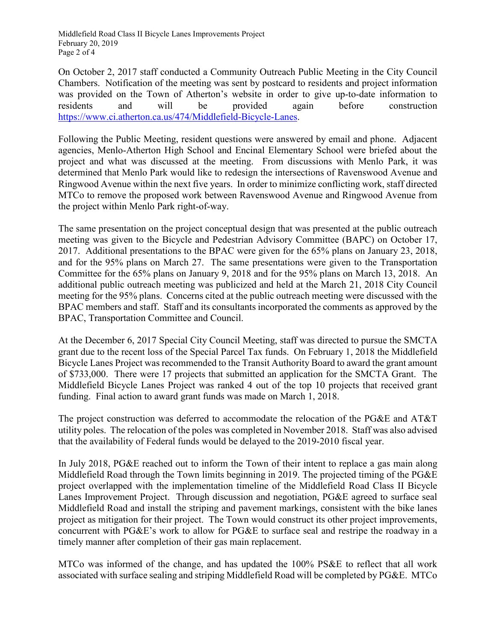Middlefield Road Class II Bicycle Lanes Improvements Project February 20, 2019 Page 2 of 4

On October 2, 2017 staff conducted a Community Outreach Public Meeting in the City Council Chambers. Notification of the meeting was sent by postcard to residents and project information was provided on the Town of Atherton's website in order to give up-to-date information to residents and will be provided again before construction [https://www.ci.atherton.ca.us/474/Middlefield-Bicycle-Lanes.](https://www.ci.atherton.ca.us/474/Middlefield-Bicycle-Lanes)

Following the Public Meeting, resident questions were answered by email and phone. Adjacent agencies, Menlo-Atherton High School and Encinal Elementary School were briefed about the project and what was discussed at the meeting. From discussions with Menlo Park, it was determined that Menlo Park would like to redesign the intersections of Ravenswood Avenue and Ringwood Avenue within the next five years. In order to minimize conflicting work, staff directed MTCo to remove the proposed work between Ravenswood Avenue and Ringwood Avenue from the project within Menlo Park right-of-way.

The same presentation on the project conceptual design that was presented at the public outreach meeting was given to the Bicycle and Pedestrian Advisory Committee (BAPC) on October 17, 2017. Additional presentations to the BPAC were given for the 65% plans on January 23, 2018, and for the 95% plans on March 27. The same presentations were given to the Transportation Committee for the 65% plans on January 9, 2018 and for the 95% plans on March 13, 2018. An additional public outreach meeting was publicized and held at the March 21, 2018 City Council meeting for the 95% plans. Concerns cited at the public outreach meeting were discussed with the BPAC members and staff. Staff and its consultants incorporated the comments as approved by the BPAC, Transportation Committee and Council.

At the December 6, 2017 Special City Council Meeting, staff was directed to pursue the SMCTA grant due to the recent loss of the Special Parcel Tax funds. On February 1, 2018 the Middlefield Bicycle Lanes Project was recommended to the Transit Authority Board to award the grant amount of \$733,000. There were 17 projects that submitted an application for the SMCTA Grant. The Middlefield Bicycle Lanes Project was ranked 4 out of the top 10 projects that received grant funding. Final action to award grant funds was made on March 1, 2018.

The project construction was deferred to accommodate the relocation of the PG&E and AT&T utility poles. The relocation of the poles was completed in November 2018. Staff was also advised that the availability of Federal funds would be delayed to the 2019-2010 fiscal year.

In July 2018, PG&E reached out to inform the Town of their intent to replace a gas main along Middlefield Road through the Town limits beginning in 2019. The projected timing of the PG&E project overlapped with the implementation timeline of the Middlefield Road Class II Bicycle Lanes Improvement Project. Through discussion and negotiation, PG&E agreed to surface seal Middlefield Road and install the striping and pavement markings, consistent with the bike lanes project as mitigation for their project. The Town would construct its other project improvements, concurrent with PG&E's work to allow for PG&E to surface seal and restripe the roadway in a timely manner after completion of their gas main replacement.

MTCo was informed of the change, and has updated the 100% PS&E to reflect that all work associated with surface sealing and striping Middlefield Road will be completed by PG&E. MTCo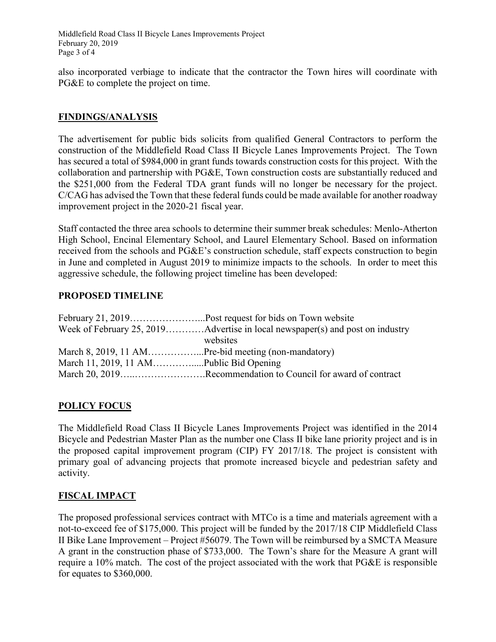Middlefield Road Class II Bicycle Lanes Improvements Project February 20, 2019 Page 3 of 4

also incorporated verbiage to indicate that the contractor the Town hires will coordinate with PG&E to complete the project on time.

#### **FINDINGS/ANALYSIS**

The advertisement for public bids solicits from qualified General Contractors to perform the construction of the Middlefield Road Class II Bicycle Lanes Improvements Project. The Town has secured a total of \$984,000 in grant funds towards construction costs for this project. With the collaboration and partnership with PG&E, Town construction costs are substantially reduced and the \$251,000 from the Federal TDA grant funds will no longer be necessary for the project. C/CAG has advised the Town that these federal funds could be made available for another roadway improvement project in the 2020-21 fiscal year.

Staff contacted the three area schools to determine their summer break schedules: Menlo-Atherton High School, Encinal Elementary School, and Laurel Elementary School. Based on information received from the schools and PG&E's construction schedule, staff expects construction to begin in June and completed in August 2019 to minimize impacts to the schools. In order to meet this aggressive schedule, the following project timeline has been developed:

#### **PROPOSED TIMELINE**

|                                                     | websites                                                      |
|-----------------------------------------------------|---------------------------------------------------------------|
| March 8, 2019, 11 AMPre-bid meeting (non-mandatory) |                                                               |
| March 11, 2019, 11 AMPublic Bid Opening             |                                                               |
|                                                     | March 20, 2019Recommendation to Council for award of contract |

## **POLICY FOCUS**

The Middlefield Road Class II Bicycle Lanes Improvements Project was identified in the 2014 Bicycle and Pedestrian Master Plan as the number one Class II bike lane priority project and is in the proposed capital improvement program (CIP) FY 2017/18. The project is consistent with primary goal of advancing projects that promote increased bicycle and pedestrian safety and activity.

## **FISCAL IMPACT**

The proposed professional services contract with MTCo is a time and materials agreement with a not-to-exceed fee of \$175,000. This project will be funded by the 2017/18 CIP Middlefield Class II Bike Lane Improvement – Project #56079. The Town will be reimbursed by a SMCTA Measure A grant in the construction phase of \$733,000. The Town's share for the Measure A grant will require a 10% match. The cost of the project associated with the work that PG&E is responsible for equates to \$360,000.